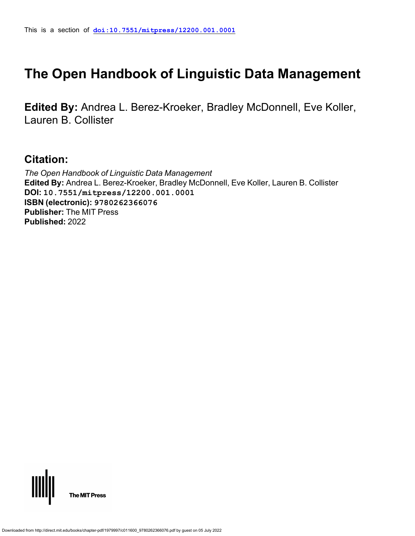# **The Open Handbook of Linguistic Data Management**

**Edited By:** Andrea L. Berez-Kroeker, Bradley McDonnell, Eve Koller, Lauren B. Collister

# **Citation:**

*The Open Handbook of Linguistic Data Management* **Edited By:** Andrea L. Berez-Kroeker, Bradley McDonnell, Eve Koller, Lauren B. Collister **DOI: 10.7551/mitpress/12200.001.0001 ISBN (electronic): 9780262366076 Publisher:** The MIT Press **Published:** 2022

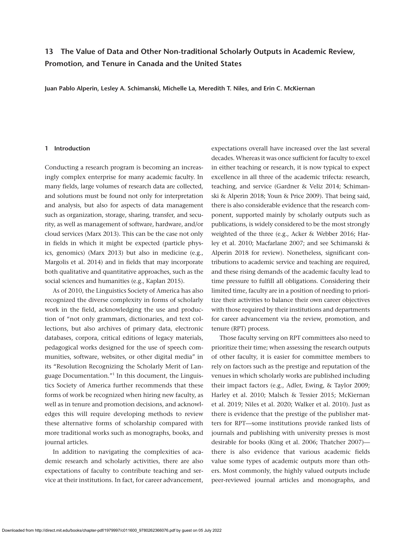# **13 The Value of Data and Other Non-traditional Scholarly Outputs in Academic Review, Promotion, and Tenure in Canada and the United States**

**Juan Pablo Alperin, Lesley A. Schimanski, Michelle La, Meredith T. Niles, and Erin C. McKiernan**

# **1 Introduction**

Conducting a research program is becoming an increasingly complex enterprise for many academic faculty. In many fields, large volumes of research data are collected, and solutions must be found not only for interpretation and analysis, but also for aspects of data management such as organization, storage, sharing, transfer, and security, as well as management of software, hardware, and/or cloud services (Marx 2013). This can be the case not only in fields in which it might be expected (particle physics, genomics) (Marx 2013) but also in medicine (e.g., Margolis et al. 2014) and in fields that may incorporate both qualitative and quantitative approaches, such as the social sciences and humanities (e.g., Kaplan 2015).

As of 2010, the Linguistics Society of America has also recognized the diverse complexity in forms of scholarly work in the field, acknowledging the use and production of "not only grammars, dictionaries, and text collections, but also archives of primary data, electronic databases, corpora, critical editions of legacy materials, pedagogical works designed for the use of speech communities, software, websites, or other digital media" in its "Resolution Recognizing the Scholarly Merit of Language Documentation."1 In this document, the Linguistics Society of America further recommends that these forms of work be recognized when hiring new faculty, as well as in tenure and promotion decisions, and acknowledges this will require developing methods to review these alternative forms of scholarship compared with more traditional works such as monographs, books, and journal articles.

In addition to navigating the complexities of academic research and scholarly activities, there are also expectations of faculty to contribute teaching and service at their institutions. In fact, for career advancement, expectations overall have increased over the last several decades. Whereas it was once sufficient for faculty to excel in either teaching or research, it is now typical to expect excellence in all three of the academic trifecta: research, teaching, and service (Gardner & Veliz 2014; Schimanski & Alperin 2018; Youn & Price 2009). That being said, there is also considerable evidence that the research component, supported mainly by scholarly outputs such as publications, is widely considered to be the most strongly weighted of the three (e.g., Acker & Webber 2016; Harley et al. 2010; Macfarlane 2007; and see Schimanski & Alperin 2018 for review). Nonetheless, significant contributions to academic service and teaching are required, and these rising demands of the academic faculty lead to time pressure to fulfill all obligations. Considering their limited time, faculty are in a position of needing to prioritize their activities to balance their own career objectives with those required by their institutions and departments for career advancement via the review, promotion, and tenure (RPT) process.

Those faculty serving on RPT committees also need to prioritize their time; when assessing the research outputs of other faculty, it is easier for committee members to rely on factors such as the prestige and reputation of the venues in which scholarly works are published including their impact factors (e.g., Adler, Ewing, & Taylor 2009; Harley et al. 2010; Malsch & Tessier 2015; McKiernan et al. 2019; Niles et al. 2020; Walker et al. 2010). Just as there is evidence that the prestige of the publisher matters for RPT—some institutions provide ranked lists of journals and publishing with university presses is most desirable for books (King et al. 2006; Thatcher 2007) there is also evidence that various academic fields value some types of academic outputs more than others. Most commonly, the highly valued outputs include peer-reviewed journal articles and monographs, and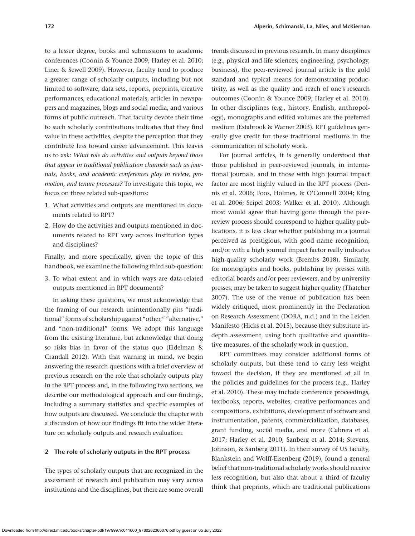to a lesser degree, books and submissions to academic conferences (Coonin & Younce 2009; Harley et al. 2010; Liner & Sewell 2009). However, faculty tend to produce a greater range of scholarly outputs, including but not limited to software, data sets, reports, preprints, creative performances, educational materials, articles in newspapers and magazines, blogs and social media, and various forms of public outreach. That faculty devote their time to such scholarly contributions indicates that they find value in these activities, despite the perception that they contribute less toward career advancement. This leaves us to ask: *What role do activities and outputs beyond those that appear in traditional publication channels such as journals, books, and academic conferences play in review, promotion, and tenure processes?* To investigate this topic, we focus on three related sub-questions:

- 1. What activities and outputs are mentioned in documents related to RPT?
- 2. How do the activities and outputs mentioned in documents related to RPT vary across institution types and disciplines?

Finally, and more specifically, given the topic of this handbook, we examine the following third sub-question:

3. To what extent and in which ways are data-related outputs mentioned in RPT documents?

In asking these questions, we must acknowledge that the framing of our research unintentionally pits "traditional" forms of scholarship against "other," "alternative," and "non-traditional" forms. We adopt this language from the existing literature, but acknowledge that doing so risks bias in favor of the status quo (Eidelman & Crandall 2012). With that warning in mind, we begin answering the research questions with a brief overview of previous research on the role that scholarly outputs play in the RPT process and, in the following two sections, we describe our methodological approach and our findings, including a summary statistics and specific examples of how outputs are discussed. We conclude the chapter with a discussion of how our findings fit into the wider literature on scholarly outputs and research evaluation.

#### **2 The role of scholarly outputs in the RPT process**

The types of scholarly outputs that are recognized in the assessment of research and publication may vary across institutions and the disciplines, but there are some overall

trends discussed in previous research. In many disciplines (e.g., physical and life sciences, engineering, psychology, business), the peer-reviewed journal article is the gold standard and typical means for demonstrating productivity, as well as the quality and reach of one's research outcomes (Coonin & Younce 2009; Harley et al. 2010). In other disciplines (e.g., history, English, anthropology), monographs and edited volumes are the preferred medium (Estabrook & Warner 2003). RPT guidelines generally give credit for these traditional mediums in the communication of scholarly work.

For journal articles, it is generally understood that those published in peer-reviewed journals, in international journals, and in those with high journal impact factor are most highly valued in the RPT process (Dennis et al. 2006; Foos, Holmes, & O'Connell 2004; King et al. 2006; Seipel 2003; Walker et al. 2010). Although most would agree that having gone through the peerreview process should correspond to higher quality publications, it is less clear whether publishing in a journal perceived as prestigious, with good name recognition, and/or with a high journal impact factor really indicates high-quality scholarly work (Brembs 2018). Similarly, for monographs and books, publishing by presses with editorial boards and/or peer reviewers, and by university presses, may be taken to suggest higher quality (Thatcher 2007). The use of the venue of publication has been widely critiqued, most prominently in the Declaration on Research Assessment (DORA, n.d.) and in the Leiden Manifesto (Hicks et al. 2015), because they substitute indepth assessment, using both qualitative and quantitative measures, of the scholarly work in question.

RPT committees may consider additional forms of scholarly outputs, but these tend to carry less weight toward the decision, if they are mentioned at all in the policies and guidelines for the process (e.g., Harley et al. 2010). These may include conference proceedings, textbooks, reports, websites, creative performances and compositions, exhibitions, development of software and instrumentation, patents, commercialization, databases, grant funding, social media, and more (Cabrera et al. 2017; Harley et al. 2010; Sanberg et al. 2014; Stevens, Johnson, & Sanberg 2011). In their survey of US faculty, Blankstein and Wolff-Eisenberg (2019), found a general belief that non-traditional scholarly works should receive less recognition, but also that about a third of faculty think that preprints, which are traditional publications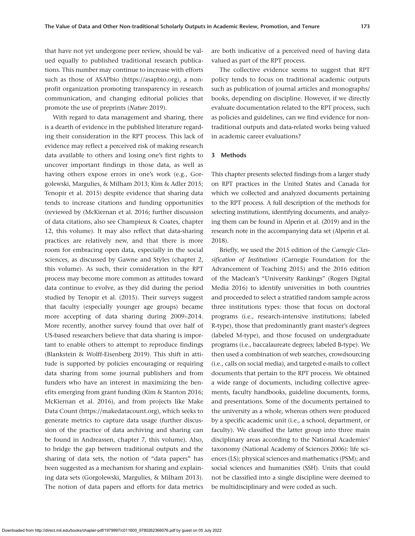that have not yet undergone peer review, should be valued equally to published traditional research publications. This number may continue to increase with efforts such as those of ASAPbio ([https://asapbio.org\)](https://asapbio.org), a nonprofit organization promoting transparency in research communication, and changing editorial policies that promote the use of preprints (*Nature* 2019).

With regard to data management and sharing, there is a dearth of evidence in the published literature regarding their consideration in the RPT process. This lack of evidence may reflect a perceived risk of making research data available to others and losing one's first rights to uncover important findings in those data, as well as having others expose errors in one's work (e.g., Gorgolewski, Margulies, & Milham 2013; Kim & Adler 2015; Tenopir et al. 2015) despite evidence that sharing data tends to increase citations and funding opportunities (reviewed by (McKiernan et al. 2016; further discussion of data citations, also see Champieux & Coates, chapter 12, this volume). It may also reflect that data-sharing practices are relatively new, and that there is more room for embracing open data, especially in the social sciences, as discussed by Gawne and Styles (chapter 2, this volume). As such, their consideration in the RPT process may become more common as attitudes toward data continue to evolve, as they did during the period studied by Tenopir et al. (2015). Their surveys suggest that faculty (especially younger age groups) became more accepting of data sharing during 2009–2014. More recently, another survey found that over half of US-based researchers believe that data sharing is important to enable others to attempt to reproduce findings (Blankstein & Wolff-Eisenberg 2019). This shift in attitude is supported by policies encouraging or requiring data sharing from some journal publishers and from funders who have an interest in maximizing the benefits emerging from grant funding (Kim & Stanton 2016; McKiernan et al. 2016), and from projects like Make Data Count ([https://makedatacount.org\)](https://makedatacount.org), which seeks to generate metrics to capture data usage (further discussion of the practice of data archiving and sharing can be found in Andreassen, chapter 7, this volume). Also, to bridge the gap between traditional outputs and the sharing of data sets, the notion of "data papers" has been suggested as a mechanism for sharing and explaining data sets (Gorgolewski, Margulies, & Milham 2013). The notion of data papers and efforts for data metrics

are both indicative of a perceived need of having data valued as part of the RPT process.

The collective evidence seems to suggest that RPT policy tends to focus on traditional academic outputs such as publication of journal articles and monographs/ books, depending on discipline. However, if we directly evaluate documentation related to the RPT process, such as policies and guidelines, can we find evidence for nontraditional outputs and data-related works being valued in academic career evaluations?

# **3 Methods**

This chapter presents selected findings from a larger study on RPT practices in the United States and Canada for which we collected and analyzed documents pertaining to the RPT process. A full description of the methods for selecting institutions, identifying documents, and analyzing them can be found in Alperin et al. (2019) and in the research note in the accompanying data set (Alperin et al. 2018).

Briefly, we used the 2015 edition of the *Carnegie Classification of Institutions* (Carnegie Foundation for the Advancement of Teaching 2015) and the 2016 edition of the Maclean's "University Rankings" (Rogers Digital Media 2016) to identify universities in both countries and proceeded to select a stratified random sample across three institutions types: those that focus on doctoral programs (i.e., research-intensive institutions; labeled R-type), those that predominantly grant master's degrees (labeled M-type), and those focused on undergraduate programs (i.e., baccalaureate degrees; labeled B-type). We then used a combination of web searches, crowdsourcing (i.e., calls on social media), and targeted e-mails to collect documents that pertain to the RPT process. We obtained a wide range of documents, including collective agreements, faculty handbooks, guideline documents, forms, and presentations. Some of the documents pertained to the university as a whole, whereas others were produced by a specific academic unit (i.e., a school, department, or faculty). We classified the latter group into three main disciplinary areas according to the National Academies' taxonomy (National Academy of Sciences 2006): life sciences (LS); physical sciences and mathematics (PSM); and social sciences and humanities (SSH). Units that could not be classified into a single discipline were deemed to be multidisciplinary and were coded as such.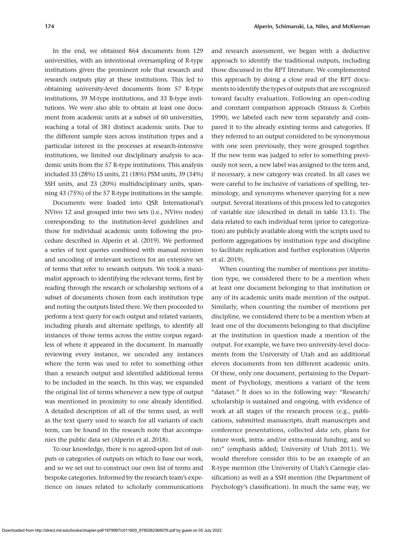In the end, we obtained 864 documents from 129 universities, with an intentional oversampling of R-type institutions given the prominent role that research and research outputs play at these institutions. This led to obtaining university-level documents from 57 R-type institutions, 39 M-type institutions, and 33 B-type institutions. We were also able to obtain at least one document from academic units at a subset of 60 universities, reaching a total of 381 distinct academic units. Due to the different sample sizes across institution types and a particular interest in the processes at research-intensive institutions, we limited our disciplinary analysis to academic units from the 57 R-type institutions. This analysis included 33 (28%) LS units, 21 (18%) PSM units, 39 (34%) SSH units, and 23 (20%) multidisciplinary units, spanning 43 (75%) of the 57 R-type institutions in the sample.

Documents were loaded into QSR International's NVivo 12 and grouped into two sets (i.e., NVivo nodes) corresponding to the institution-level guidelines and those for individual academic units following the procedure described in Alperin et al. (2019). We performed a series of text queries combined with manual revision and uncoding of irrelevant sections for an extensive set of terms that refer to research outputs. We took a maximalist approach to identifying the relevant terms, first by reading through the research or scholarship sections of a subset of documents chosen from each institution type and noting the outputs listed there. We then proceeded to perform a text query for each output and related variants, including plurals and alternate spellings, to identify all instances of those terms across the entire corpus regardless of where it appeared in the document. In manually reviewing every instance, we uncoded any instances where the term was used to refer to something other than a research output and identified additional terms to be included in the search. In this way, we expanded the original list of terms whenever a new type of output was mentioned in proximity to one already identified. A detailed description of all of the terms used, as well as the text query used to search for all variants of each term, can be found in the research note that accompanies the public data set (Alperin et al. 2018).

To our knowledge, there is no agreed-upon list of outputs or categories of outputs on which to base our work, and so we set out to construct our own list of terms and bespoke categories. Informed by the research team's experience on issues related to scholarly communications

and research assessment, we began with a deductive approach to identify the traditional outputs, including those discussed in the RPT literature. We complemented this approach by doing a close read of the RPT documents to identify the types of outputs that are recognized toward faculty evaluation. Following an open-coding and constant comparison approach (Strauss & Corbin 1990), we labeled each new term separately and compared it to the already existing terms and categories. If they referred to an output considered to be synonymous with one seen previously, they were grouped together. If the new term was judged to refer to something previously not seen, a new label was assigned to the term and, if necessary, a new category was created. In all cases we were careful to be inclusive of variations of spelling, terminology, and synonyms whenever querying for a new output. Several iterations of this process led to categories of variable size (described in detail in table 13.1). The data related to each individual term (prior to categorization) are publicly available along with the scripts used to perform aggregations by institution type and discipline to facilitate replication and further exploration (Alperin et al. 2019).

When counting the number of mentions per institution type, we considered there to be a mention when at least one document belonging to that institution or any of its academic units made mention of the output. Similarly, when counting the number of mentions per discipline, we considered there to be a mention when at least one of the documents belonging to that discipline at the institution in question made a mention of the output. For example, we have two university-level documents from the University of Utah and an additional eleven documents from ten different academic units. Of these, only one document, pertaining to the Department of Psychology, mentions a variant of the term "dataset." It does so in the following way: "Research/ scholarship is sustained and ongoing, with evidence of work at all stages of the research process (e.g., publications, submitted manuscripts, draft manuscripts and conference presentations, collected *data sets*, plans for future work, intra- and/or extra-mural funding, and so on)" (emphasis added; University of Utah 2011). We would therefore consider this to be an example of an R-type mention (the University of Utah's Carnegie classification) as well as a SSH mention (the Department of Psychology's classification). In much the same way, we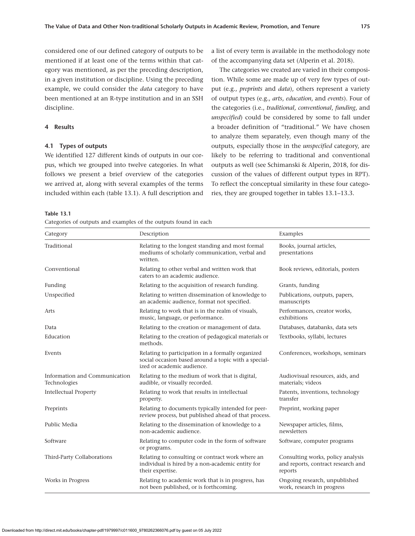considered one of our defined category of outputs to be mentioned if at least one of the terms within that category was mentioned, as per the preceding description, in a given institution or discipline. Using the preceding example, we could consider the *data* category to have been mentioned at an R-type institution and in an SSH discipline.

## **4 Results**

# **4.1 Types of outputs**

We identified 127 different kinds of outputs in our corpus, which we grouped into twelve categories. In what follows we present a brief overview of the categories we arrived at, along with several examples of the terms included within each (table 13.1). A full description and

#### **Table 13.1**

Categories of outputs and examples of the outputs found in each

a list of every term is available in the methodology note of the accompanying data set (Alperin et al. 2018).

The categories we created are varied in their composition. While some are made up of very few types of output (e.g., *preprints* and *data*), others represent a variety of output types (e.g., *arts*, *education*, and *events*). Four of the categories (i.e., *traditional*, *conventional*, *funding*, and *unspecified*) could be considered by some to fall under a broader definition of "traditional." We have chosen to analyze them separately, even though many of the outputs, especially those in the *unspecified* category, are likely to be referring to traditional and conventional outputs as well (see Schimanski & Alperin, 2018, for discussion of the values of different output types in RPT). To reflect the conceptual similarity in these four categories, they are grouped together in tables 13.1–13.3.

| Category                                      | Description                                                                                                                             | Examples                                                                           |  |  |
|-----------------------------------------------|-----------------------------------------------------------------------------------------------------------------------------------------|------------------------------------------------------------------------------------|--|--|
| Traditional                                   | Relating to the longest standing and most formal<br>mediums of scholarly communication, verbal and<br>written.                          | Books, journal articles,<br>presentations                                          |  |  |
| Conventional                                  | Relating to other verbal and written work that<br>caters to an academic audience.                                                       | Book reviews, editorials, posters                                                  |  |  |
| Funding                                       | Relating to the acquisition of research funding.                                                                                        | Grants, funding                                                                    |  |  |
| Unspecified                                   | Relating to written dissemination of knowledge to<br>an academic audience, format not specified.                                        | Publications, outputs, papers,<br>manuscripts                                      |  |  |
| Arts                                          | Relating to work that is in the realm of visuals,<br>music, language, or performance.                                                   | Performances, creator works,<br>exhibitions                                        |  |  |
| Data                                          | Relating to the creation or management of data.                                                                                         | Databases, databanks, data sets                                                    |  |  |
| Education                                     | Relating to the creation of pedagogical materials or<br>methods.                                                                        | Textbooks, syllabi, lectures                                                       |  |  |
| Events                                        | Relating to participation in a formally organized<br>social occasion based around a topic with a special-<br>ized or academic audience. | Conferences, workshops, seminars                                                   |  |  |
| Information and Communication<br>Technologies | Relating to the medium of work that is digital,<br>audible, or visually recorded.                                                       | Audiovisual resources, aids, and<br>materials; videos                              |  |  |
| <b>Intellectual Property</b>                  | Relating to work that results in intellectual<br>property.                                                                              | Patents, inventions, technology<br>transfer                                        |  |  |
| Preprints                                     | Relating to documents typically intended for peer-<br>review process, but published ahead of that process.                              | Preprint, working paper                                                            |  |  |
| Public Media                                  | Relating to the dissemination of knowledge to a<br>non-academic audience.                                                               | Newspaper articles, films,<br>newsletters                                          |  |  |
| Software                                      | Relating to computer code in the form of software<br>or programs.                                                                       | Software, computer programs                                                        |  |  |
| Third-Party Collaborations                    | Relating to consulting or contract work where an<br>individual is hired by a non-academic entity for<br>their expertise.                | Consulting works, policy analysis<br>and reports, contract research and<br>reports |  |  |
| Works in Progress                             | Relating to academic work that is in progress, has<br>not been published, or is forthcoming.                                            | Ongoing research, unpublished<br>work, research in progress                        |  |  |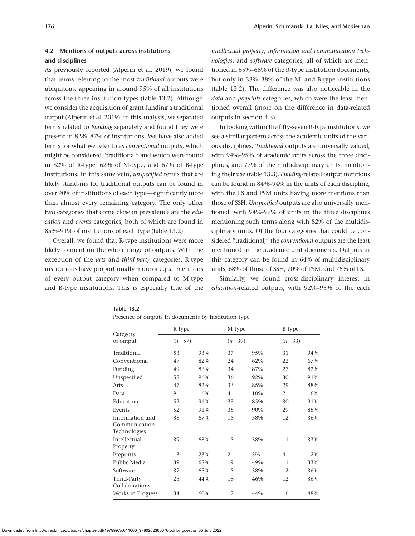# **4.2 Mentions of outputs across institutions and disciplines**

As previously reported (Alperin et al. 2019), we found that terms referring to the most *traditional* outputs were ubiquitous, appearing in around 95% of all institutions across the three institution types (table 13.2). Although we consider the acquisition of grant funding a traditional output (Alperin et al. 2019), in this analysis, we separated terms related to *Funding* separately and found they were present in 82%–87% of institutions. We have also added terms for what we refer to as *conventional* outputs, which might be considered "traditional" and which were found in 82% of R-type, 62% of M-type, and 67% of B-type institutions. In this same vein, *unspecified* terms that are likely stand-ins for traditional outputs can be found in over 90% of institutions of each type—significantly more than almost every remaining category. The only other two categories that come close in prevalence are the *education* and *events* categories, both of which are found in 85%–91% of institutions of each type (table 13.2).

Overall, we found that R-type institutions were more likely to mention the whole range of outputs. With the exception of the *arts* and *third-party* categories, R-type institutions have proportionally more or equal mentions of every output category when compared to M-type and B-type institutions. This is especially true of the

*intellectual property*, *information and communication technologies*, and *software* categories, all of which are mentioned in 65%–68% of the R-type institution documents, but only in 33%–38% of the M- and B-type institutions (table 13.2). The difference was also noticeable in the *data* and *preprints* categories, which were the least mentioned overall (more on the difference in data-related outputs in section 4.3).

In looking within the fifty-seven R-type institutions, we see a similar pattern across the academic units of the various disciplines. *Traditional* outputs are universally valued, with 94%–95% of academic units across the three disciplines, and 77% of the multidisciplinary units, mentioning their use (table 13.3). *Funding*-related output mentions can be found in 84%–94% in the units of each discipline, with the LS and PSM units having more mentions than those of SSH. *Unspecified* outputs are also universally mentioned, with 94%–97% of units in the three disciplines mentioning such terms along with 82% of the multidisciplinary units. Of the four categories that could be considered "traditional," the *conventional* outputs are the least mentioned in the academic unit documents. Outputs in this category can be found in 64% of multidisciplinary units, 68% of those of SSH, 70% of PSM, and 76% of LS.

Similarly, we found cross-disciplinary interest in *education-*related outputs, with 92%–95% of the each

| Category                                         | R-type   |     |                | M-type |                | B-type   |  |
|--------------------------------------------------|----------|-----|----------------|--------|----------------|----------|--|
| of output                                        | $(n=57)$ |     | $(n=39)$       |        |                | $(n=33)$ |  |
| Traditional                                      | 53       | 93% | 37             | 95%    | 31             | 94%      |  |
| Conventional                                     | 47       | 82% | 24             | 62%    | 22             | 67%      |  |
| Funding                                          | 49       | 86% | 34             | 87%    | 27             | 82%      |  |
| Unspecified                                      | 55       | 96% | 36             | 92%    | 30             | 91%      |  |
| Arts                                             | 47       | 82% | 33             | 85%    | 29             | 88%      |  |
| Data                                             | 9        | 16% | $\overline{4}$ | 10%    | 2              | 6%       |  |
| Education                                        | 52       | 91% | 33             | 85%    | 30             | 91%      |  |
| Events                                           | 52       | 91% | 35             | 90%    | 29             | 88%      |  |
| Information and<br>Communication<br>Technologies | 38       | 67% | 15             | 38%    | 12             | 36%      |  |
| Intellectual<br>Property                         | 39       | 68% | 15             | 38%    | 11             | 33%      |  |
| Preprints                                        | 13       | 23% | 2              | 5%     | $\overline{4}$ | 12%      |  |
| Public Media                                     | 39       | 68% | 19             | 49%    | 11             | 33%      |  |
| Software                                         | 37       | 65% | 15             | 38%    | 12             | 36%      |  |
| Third-Party<br>Collaborations                    | 25       | 44% | 18             | 46%    | 12             | 36%      |  |
| Works in Progress                                | 34       | 60% | 17             | 44%    | 16             | 48%      |  |

### **Table 13.2**

|  |  | Presence of outputs in documents by institution type |  |  |
|--|--|------------------------------------------------------|--|--|
|  |  |                                                      |  |  |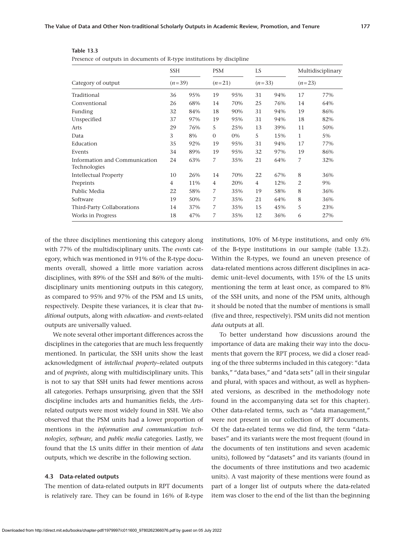|                                               | SSH |          | <b>PSM</b>     |          | LS |          | Multidisciplinary |          |  |
|-----------------------------------------------|-----|----------|----------------|----------|----|----------|-------------------|----------|--|
| Category of output                            |     | $(n=39)$ |                | $(n=21)$ |    | $(n=33)$ |                   | $(n=23)$ |  |
| Traditional                                   | 36  | 95%      | 19             | 95%      | 31 | 94%      | 17                | 77%      |  |
| Conventional                                  | 26  | 68%      | 14             | 70%      | 25 | 76%      | 14                | 64%      |  |
| Funding                                       | 32  | 84%      | 18             | 90%      | 31 | 94%      | 19                | 86%      |  |
| Unspecified                                   | 37  | 97%      | 19             | 95%      | 31 | 94%      | 18                | 82%      |  |
| Arts                                          | 29  | 76%      | 5              | 25%      | 13 | 39%      | 11                | 50%      |  |
| Data                                          | 3   | 8%       | $\overline{0}$ | 0%       | 5  | 15%      | $\mathbf 1$       | 5%       |  |
| Education                                     | 35  | 92%      | 19             | 95%      | 31 | 94%      | 17                | 77%      |  |
| Events                                        | 34  | 89%      | 19             | 95%      | 32 | 97%      | 19                | 86%      |  |
| Information and Communication<br>Technologies | 24  | 63%      | 7              | 35%      | 21 | 64%      | 7                 | 32%      |  |
| <b>Intellectual Property</b>                  | 10  | 26%      | 14             | 70%      | 22 | 67%      | 8                 | 36%      |  |
| Preprints                                     | 4   | 11%      | 4              | 20%      | 4  | 12%      | 2                 | 9%       |  |
| Public Media                                  | 22  | 58%      | 7              | 35%      | 19 | 58%      | 8                 | 36%      |  |
| Software                                      | 19  | 50%      | 7              | 35%      | 21 | 64%      | 8                 | 36%      |  |
| Third-Party Collaborations                    | 14  | 37%      | 7              | 35%      | 15 | 45%      | 5                 | 23%      |  |
| Works in Progress                             | 18  | 47%      | 7              | 35%      | 12 | 36%      | 6                 | 27%      |  |

**Table 13.3**

Presence of outputs in documents of R-type institutions by discipline

of the three disciplines mentioning this category along with 77% of the multidisciplinary units. The *events* category, which was mentioned in 91% of the R-type documents overall, showed a little more variation across disciplines, with 89% of the SSH and 86% of the multidisciplinary units mentioning outputs in this category, as compared to 95% and 97% of the PSM and LS units, respectively. Despite these variances, it is clear that *traditional* outputs, along with *education-* and *events-*related outputs are universally valued.

We note several other important differences across the disciplines in the categories that are much less frequently mentioned. In particular, the SSH units show the least acknowledgment of *intellectual property*–related outputs and of *preprints*, along with multidisciplinary units. This is not to say that SSH units had fewer mentions across all categories. Perhaps unsurprising, given that the SSH discipline includes arts and humanities fields, the *Arts*related outputs were most widely found in SSH. We also observed that the PSM units had a lower proportion of mentions in the *information and communication technologies, software,* and *public media* categories. Lastly, we found that the LS units differ in their mention of *data* outputs, which we describe in the following section.

#### **4.3 Data-related outputs**

The mention of data-related outputs in RPT documents is relatively rare. They can be found in 16% of R-type institutions, 10% of M-type institutions, and only 6% of the B-type institutions in our sample (table 13.2). Within the R-types, we found an uneven presence of data-related mentions across different disciplines in academic unit–level documents, with 15% of the LS units mentioning the term at least once, as compared to 8% of the SSH units, and none of the PSM units, although it should be noted that the number of mentions is small (five and three, respectively). PSM units did not mention *data* outputs at all.

To better understand how discussions around the importance of data are making their way into the documents that govern the RPT process, we did a closer reading of the three subterms included in this category: "data banks," "data bases," and "data sets" (all in their singular and plural, with spaces and without, as well as hyphenated versions, as described in the methodology note found in the accompanying data set for this chapter). Other data-related terms, such as "data management," were not present in our collection of RPT documents. Of the data-related terms we did find, the term "databases" and its variants were the most frequent (found in the documents of ten institutions and seven academic units), followed by "datasets" and its variants (found in the documents of three institutions and two academic units). A vast majority of these mentions were found as part of a longer list of outputs where the data-related item was closer to the end of the list than the beginning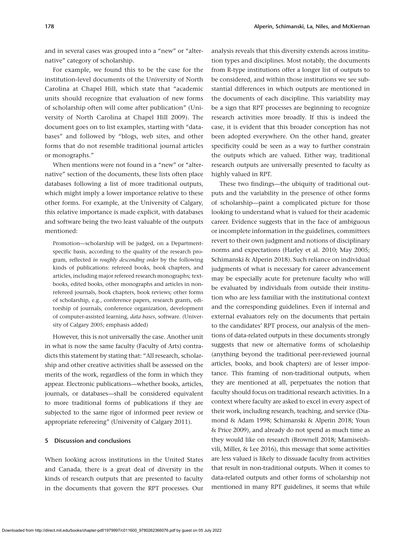and in several cases was grouped into a "new" or "alternative" category of scholarship.

For example, we found this to be the case for the institution-level documents of the University of North Carolina at Chapel Hill, which state that "academic units should recognize that evaluation of new forms of scholarship often will come after publication" (University of North Carolina at Chapel Hill 2009). The document goes on to list examples, starting with "databases" and followed by "blogs, web sites, and other forms that do not resemble traditional journal articles or monographs."

When mentions were not found in a "new" or "alternative" section of the documents, these lists often place databases following a list of more traditional outputs, which might imply a lower importance relative to these other forms. For example, at the University of Calgary, this relative importance is made explicit, with databases and software being the two least valuable of the outputs mentioned:

Promotion—scholarship will be judged, on a Departmentspecific basis, according to the quality of the research program, reflected *in roughly descending order* by the following kinds of publications: refereed books, book chapters, and articles, including major refereed research monographs; textbooks, edited books, other monographs and articles in nonrefereed journals, book chapters, book reviews; other forms of scholarship, e.g., conference papers, research grants, editorship of journals, conference organization, development of computer-assisted learning, *data bases*, software. (University of Calgary 2005; emphasis added)

However, this is not universally the case. Another unit in what is now the same faculty (Faculty of Arts) contradicts this statement by stating that: "All research, scholarship and other creative activities shall be assessed on the merits of the work, regardless of the form in which they appear. Electronic publications—whether books, articles, journals, or databases—shall be considered equivalent to more traditional forms of publications if they are subjected to the same rigor of informed peer review or appropriate refereeing" (University of Calgary 2011).

#### **5 Discussion and conclusions**

When looking across institutions in the United States and Canada, there is a great deal of diversity in the kinds of research outputs that are presented to faculty in the documents that govern the RPT processes. Our

analysis reveals that this diversity extends across institution types and disciplines. Most notably, the documents from R-type institutions offer a longer list of outputs to be considered, and within those institutions we see substantial differences in which outputs are mentioned in the documents of each discipline. This variability may be a sign that RPT processes are beginning to recognize research activities more broadly. If this is indeed the case, it is evident that this broader conception has not been adopted everywhere. On the other hand, greater specificity could be seen as a way to further constrain the outputs which are valued. Either way, traditional research outputs are universally presented to faculty as highly valued in RPT.

These two findings—the ubiquity of traditional outputs and the variability in the presence of other forms of scholarship—paint a complicated picture for those looking to understand what is valued for their academic career. Evidence suggests that in the face of ambiguous or incomplete information in the guidelines, committees revert to their own judgment and notions of disciplinary norms and expectations (Harley et al. 2010; May 2005; Schimanski & Alperin 2018). Such reliance on individual judgments of what is necessary for career advancement may be especially acute for pretenure faculty who will be evaluated by individuals from outside their institution who are less familiar with the institutional context and the corresponding guidelines. Even if internal and external evaluators rely on the documents that pertain to the candidates' RPT process, our analysis of the mentions of data-related outputs in these documents strongly suggests that new or alternative forms of scholarship (anything beyond the traditional peer-reviewed journal articles, books, and book chapters) are of lesser importance. This framing of non-traditional outputs, when they are mentioned at all, perpetuates the notion that faculty should focus on traditional research activities. In a context where faculty are asked to excel in every aspect of their work, including research, teaching, and service (Diamond & Adam 1998; Schimanski & Alperin 2018; Youn & Price 2009), and already do not spend as much time as they would like on research (Brownell 2018; Mamiseishvili, Miller, & Lee 2016), this message that some activities are less valued is likely to dissuade faculty from activities that result in non-traditional outputs. When it comes to data-related outputs and other forms of scholarship not mentioned in many RPT guidelines, it seems that while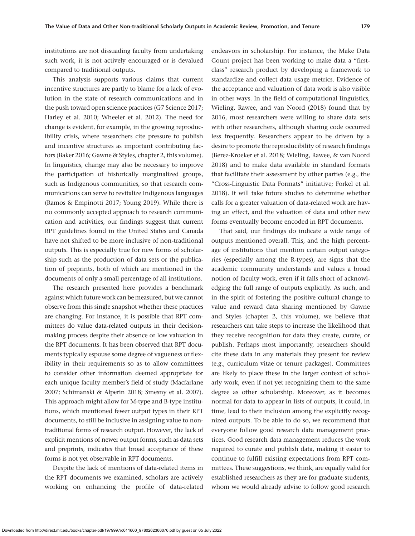institutions are not dissuading faculty from undertaking such work, it is not actively encouraged or is devalued compared to traditional outputs.

This analysis supports various claims that current incentive structures are partly to blame for a lack of evolution in the state of research communications and in the push toward open science practices (G7 Science 2017; Harley et al. 2010; Wheeler et al. 2012). The need for change is evident, for example, in the growing reproducibility crisis, where researchers cite pressure to publish and incentive structures as important contributing factors (Baker 2016; Gawne & Styles, chapter 2, this volume). In linguistics, change may also be necessary to improve the participation of historically marginalized groups, such as Indigenous communities, so that research communications can serve to revitalize Indigenous languages (Ramos & Empinotti 2017; Young 2019). While there is no commonly accepted approach to research communication and activities, our findings suggest that current RPT guidelines found in the United States and Canada have not shifted to be more inclusive of non-traditional outputs. This is especially true for new forms of scholarship such as the production of data sets or the publication of preprints, both of which are mentioned in the documents of only a small percentage of all institutions.

The research presented here provides a benchmark against which future work can be measured, but we cannot observe from this single snapshot whether these practices are changing. For instance, it is possible that RPT committees do value data-related outputs in their decisionmaking process despite their absence or low valuation in the RPT documents. It has been observed that RPT documents typically espouse some degree of vagueness or flexibility in their requirements so as to allow committees to consider other information deemed appropriate for each unique faculty member's field of study (Macfarlane 2007; Schimanski & Alperin 2018; Smesny et al. 2007). This approach might allow for M-type and B-type institutions, which mentioned fewer output types in their RPT documents, to still be inclusive in assigning value to nontraditional forms of research output. However, the lack of explicit mentions of newer output forms, such as data sets and preprints, indicates that broad acceptance of these forms is not yet observable in RPT documents.

Despite the lack of mentions of data-related items in the RPT documents we examined, scholars are actively working on enhancing the profile of data-related

endeavors in scholarship. For instance, the Make Data Count project has been working to make data a "firstclass" research product by developing a framework to standardize and collect data usage metrics. Evidence of the acceptance and valuation of data work is also visible in other ways. In the field of computational linguistics, Wieling, Rawee, and van Noord (2018) found that by 2016, most researchers were willing to share data sets with other researchers, although sharing code occurred less frequently. Researchers appear to be driven by a desire to promote the reproducibility of research findings (Berez-Kroeker et al. 2018; Wieling, Rawee, & van Noord 2018) and to make data available in standard formats that facilitate their assessment by other parties (e.g., the "Cross-Linguistic Data Formats" initiative; Forkel et al. 2018). It will take future studies to determine whether calls for a greater valuation of data-related work are having an effect, and the valuation of data and other new forms eventually become encoded in RPT documents.

That said, our findings do indicate a wide range of outputs mentioned overall. This, and the high percentage of institutions that mention certain output categories (especially among the R-types), are signs that the academic community understands and values a broad notion of faculty work, even if it falls short of acknowledging the full range of outputs explicitly. As such, and in the spirit of fostering the positive cultural change to value and reward data sharing mentioned by Gawne and Styles (chapter 2, this volume), we believe that researchers can take steps to increase the likelihood that they receive recognition for data they create, curate, or publish. Perhaps most importantly, researchers should cite these data in any materials they present for review (e.g., curriculum vitae or tenure packages). Committees are likely to place these in the larger context of scholarly work, even if not yet recognizing them to the same degree as other scholarship. Moreover, as it becomes normal for data to appear in lists of outputs, it could, in time, lead to their inclusion among the explicitly recognized outputs. To be able to do so, we recommend that everyone follow good research data management practices. Good research data management reduces the work required to curate and publish data, making it easier to continue to fulfill existing expectations from RPT committees. These suggestions, we think, are equally valid for established researchers as they are for graduate students, whom we would already advise to follow good research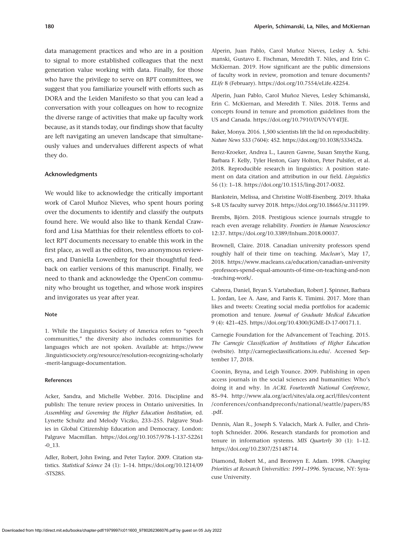data management practices and who are in a position to signal to more established colleagues that the next generation value working with data. Finally, for those who have the privilege to serve on RPT committees, we suggest that you familiarize yourself with efforts such as DORA and the Leiden Manifesto so that you can lead a conversation with your colleagues on how to recognize the diverse range of activities that make up faculty work because, as it stands today, our findings show that faculty are left navigating an uneven landscape that simultaneously values and undervalues different aspects of what they do.

## **Acknowledgments**

We would like to acknowledge the critically important work of Carol Muñoz Nieves, who spent hours poring over the documents to identify and classify the outputs found here. We would also like to thank Kendal Crawford and Lisa Matthias for their relentless efforts to collect RPT documents necessary to enable this work in the first place, as well as the editors, two anonymous reviewers, and Daniella Lowenberg for their thoughtful feedback on earlier versions of this manuscript. Finally, we need to thank and acknowledge the OpenCon community who brought us together, and whose work inspires and invigorates us year after year.

#### **Note**

1. While the Linguistics Society of America refers to "speech communities," the diversity also includes communities for languages which are not spoken. Available at: [https://www](https://www.linguisticsociety.org/resource/resolution-recognizing-scholarly-merit-language-documentation) [.linguisticsociety.org/resource/resolution-recognizing-scholarly](https://www.linguisticsociety.org/resource/resolution-recognizing-scholarly-merit-language-documentation) [-merit-language-documentation.](https://www.linguisticsociety.org/resource/resolution-recognizing-scholarly-merit-language-documentation)

#### **References**

Acker, Sandra, and Michelle Webber. 2016. Discipline and publish: The tenure review process in Ontario universities. In *Assembling and Governing the Higher Education Institution*, ed. Lynette Schultz and Melody Viczko, 233–255. Palgrave Studies in Global Citizenship Education and Democracy. London: Palgrave Macmillan. [https://doi.org/10.1057/978-1-137-52261](https://doi.org/10.1057/978-1-137-52261-0_13)  $-0$ <sup>13.</sup>

Adler, Robert, John Ewing, and Peter Taylor. 2009. Citation statistics. *Statistical Science* 24 (1): 1–14. [https://doi.org/10.1214/09](https://doi.org/10.1214/09-STS285) [-STS285](https://doi.org/10.1214/09-STS285).

Alperin, Juan Pablo, Carol Muñoz Nieves, Lesley A. Schimanski, Gustavo E. Fischman, Meredith T. Niles, and Erin C. McKiernan. 2019. How significant are the public dimensions of faculty work in review, promotion and tenure documents? *ELife* 8 (February). [https://doi.org/10.7554/eLife.42254.](https://doi.org/10.7554/eLife.42254)

Alperin, Juan Pablo, Carol Muñoz Nieves, Lesley Schimanski, Erin C. McKiernan, and Meredith T. Niles. 2018. Terms and concepts found in tenure and promotion guidelines from the US and Canada. [https://doi.org/10.7910/DVN/VY4TJE.](https://doi.org/10.7910/DVN/VY4TJE)

Baker, Monya. 2016. 1,500 scientists lift the lid on reproducibility. *Nature News* 533 (7604): 452.<https://doi.org/10.1038/533452a>.

Berez-Kroeker, Andrea L., Lauren Gawne, Susan Smythe Kung, Barbara F. Kelly, Tyler Heston, Gary Holton, Peter Pulsifer, et al. 2018. Reproducible research in linguistics: A position statement on data citation and attribution in our field. *Linguistics* 56 (1): 1–18. [https://doi.org/10.1515/ling-2017-0032.](https://doi.org/10.1515/ling-2017-0032)

Blankstein, Melissa, and Christine Wolff-Eisenberg. 2019. Ithaka S+R US faculty survey 2018. [https://doi.org/10.18665/sr.311199.](https://doi.org/10.18665/sr.311199)

Brembs, Björn. 2018. Prestigious science journals struggle to reach even average reliability. *Frontiers in Human Neuroscience* 12:37. [https://doi.org/10.3389/fnhum.2018.00037.](https://doi.org/10.3389/fnhum.2018.00037)

Brownell, Claire. 2018. Canadian university professors spend roughly half of their time on teaching. *Maclean's*, May 17, 2018. [https://www.macleans.ca/education/canadian-university](https://www.macleans.ca/education/canadian-university-professors-spend-equal-amounts-of-time-on-teaching-and-non-teaching-work/) [-professors-spend-equal-amounts-of-time-on-teaching-and-non](https://www.macleans.ca/education/canadian-university-professors-spend-equal-amounts-of-time-on-teaching-and-non-teaching-work/) [-teaching-work/.](https://www.macleans.ca/education/canadian-university-professors-spend-equal-amounts-of-time-on-teaching-and-non-teaching-work/)

Cabrera, Daniel, Bryan S. Vartabedian, Robert J. Spinner, Barbara L. Jordan, Lee A. Aase, and Farris K. Timimi. 2017. More than likes and tweets: Creating social media portfolios for academic promotion and tenure. *Journal of Graduate Medical Education* 9 (4): 421–425. <https://doi.org/10.4300/JGME-D-17-00171.1>.

Carnegie Foundation for the Advancement of Teaching. 2015. *The Carnegie Classification of Institutions of Higher Education* (website). [http://carnegieclassifications.iu.edu/.](http://carnegieclassifications.iu.edu/) Accessed September 17, 2018.

Coonin, Bryna, and Leigh Younce. 2009. Publishing in open access journals in the social sciences and humanities: Who's doing it and why. In *ACRL Fourteenth National Conference*, 85–94. [http://www.ala.org/acrl/sites/ala.org.acrl/files/content](http://www.ala.org/acrl/sites/ala.org.acrl/files/content/conferences/confsandpreconfs/national/seattle/papers/85.pdf) [/conferences/confsandpreconfs/national/seattle/papers/85](http://www.ala.org/acrl/sites/ala.org.acrl/files/content/conferences/confsandpreconfs/national/seattle/papers/85.pdf) [.pdf](http://www.ala.org/acrl/sites/ala.org.acrl/files/content/conferences/confsandpreconfs/national/seattle/papers/85.pdf).

Dennis, Alan R., Joseph S. Valacich, Mark A. Fuller, and Christoph Schneider. 2006. Research standards for promotion and tenure in information systems. *MIS Quarterly* 30 (1): 1–12. [https://doi.org/10.2307/25148714.](https://doi.org/10.2307/25148714)

Diamond, Robert M., and Bronwyn E. Adam. 1998. *Changing Priorities at Research Universities: 1991–1996*. Syracuse, NY: Syracuse University.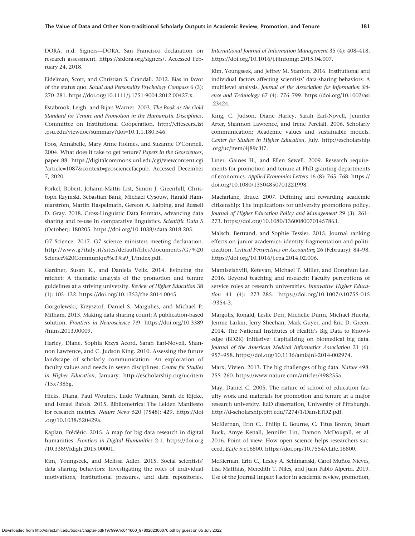DORA. n.d. Signers—DORA. San Francisco declaration on research assessment. [https://sfdora.org/signers/.](https://sfdora.org/signers/) Accessed February 24, 2018.

Eidelman, Scott, and Christian S. Crandall. 2012. Bias in favor of the status quo. *Social and Personality Psychology Compass* 6 (3): 270–281.<https://doi.org/10.1111/j.1751-9004.2012.00427.x>.

Estabrook, Leigh, and Bijan Warner. 2003. *The Book as the Gold Standard for Tenure and Promotion in the Humanistic Disciplines*. Committee on Institutional Cooperation. [http://citeseerx.ist](http://citeseerx.ist.psu.edu/viewdoc/summary?doi=10.1.1.180.546) [.psu.edu/viewdoc/summary?doi=10.1.1.180.546.](http://citeseerx.ist.psu.edu/viewdoc/summary?doi=10.1.1.180.546)

Foos, Annabelle, Mary Anne Holmes, and Suzanne O'Connell. 2004. What does it take to get tenure? *Papers in the Geosciences*, paper 88. [https://digitalcommons.unl.edu/cgi/viewcontent.cgi](https://digitalcommons.unl.edu/cgi/viewcontent.cgi?article=1087&context=geosciencefacpub) [?article=1087&context=geosciencefacpub](https://digitalcommons.unl.edu/cgi/viewcontent.cgi?article=1087&context=geosciencefacpub). Accessed December 7, 2020.

Forkel, Robert, Johann-Mattis List, Simon J. Greenhill, Christoph Rzymski, Sebastian Bank, Michael Cysouw, Harald Hammarström, Martin Haspelmath, Gereon A. Kaiping, and Russell D. Gray. 2018. Cross-Linguistic Data Formats, advancing data sharing and re-use in comparative linguistics. *Scientific Data* 5 (October): 180205. [https://doi.org/10.1038/sdata.2018.205.](https://doi.org/10.1038/sdata.2018.205)

G7 Science. 2017. G7 science ministers meeting declaration. [http://www.g7italy.it/sites/default/files/documents/G7%20](http://www.g7italy.it/sites/default/files/documents/G7%20Science%20Communiqu%c3%a9_1/index.pdf) [Science%20Communiqu%c3%a9\\_1/index.pdf.](http://www.g7italy.it/sites/default/files/documents/G7%20Science%20Communiqu%c3%a9_1/index.pdf)

Gardner, Susan K., and Daniela Veliz. 2014. Evincing the ratchet: A thematic analysis of the promotion and tenure guidelines at a striving university. *Review of Higher Education* 38 (1): 105–132. <https://doi.org/10.1353/rhe.2014.0045>.

Gorgolewski, Krzysztof, Daniel S. Margulies, and Michael P. Milham. 2013. Making data sharing count: A publication-based solution. *Frontiers in Neuroscience* 7:9. [https://doi.org/10.3389](https://doi.org/10.3389/fnins.2013.00009) [/fnins.2013.00009.](https://doi.org/10.3389/fnins.2013.00009)

Harley, Diane, Sophia Krzys Acord, Sarah Earl-Novell, Shannon Lawrence, and C. Judson King. 2010. Assessing the future landscape of scholarly communication: An exploration of faculty values and needs in seven disciplines. *Center for Studies in Higher Education*, January. [http://escholarship.org/uc/item](http://escholarship.org/uc/item/15x7385g) [/15x7385g.](http://escholarship.org/uc/item/15x7385g)

Hicks, Diana, Paul Wouters, Ludo Waltman, Sarah de Rijcke, and Ismael Rafols. 2015. Bibliometrics: The Leiden Manifesto for research metrics. *Nature News* 520 (7548): 429. [https://doi](https://doi.org/10.1038/520429a) [.org/10.1038/520429a.](https://doi.org/10.1038/520429a)

Kaplan, Frédéric. 2015. A map for big data research in digital humanities. *Frontiers in Digital Humanities* 2:1. [https://doi.org](https://doi.org/10.3389/fdigh.2015.00001) [/10.3389/fdigh.2015.00001](https://doi.org/10.3389/fdigh.2015.00001).

Kim, Youngseek, and Melissa Adler. 2015. Social scientists' data sharing behaviors: Investigating the roles of individual motivations, institutional pressures, and data repositories. *International Journal of Information Management* 35 (4): 408–418. [https://doi.org/10.1016/j.ijinfomgt.2015.04.007.](https://doi.org/10.1016/j.ijinfomgt.2015.04.007)

Kim, Youngseek, and Jeffrey M. Stanton. 2016. Institutional and individual factors affecting scientists' data-sharing behaviors: A multilevel analysis. *Journal of the Association for Information Science and Technology* 67 (4): 776–799. [https://doi.org/10.1002/asi](https://doi.org/10.1002/asi.23424) [.23424](https://doi.org/10.1002/asi.23424).

King, C. Judson, Diane Harley, Sarah Earl-Novell, Jennifer Arter, Shannon Lawrence, and Irene Perciali. 2006. Scholarly communication: Academic values and sustainable models. *Center for Studies in Higher Education*, July. [http://escholarship](http://escholarship.org/uc/item/4j89c3f7) [.org/uc/item/4j89c3f7](http://escholarship.org/uc/item/4j89c3f7).

Liner, Gaines H., and Ellen Sewell. 2009. Research requirements for promotion and tenure at PhD granting departments of economics. *Applied Economics Letters* 16 (8): 765–768. [https://](https://doi.org/10.1080/13504850701221998) [doi.org/10.1080/13504850701221998](https://doi.org/10.1080/13504850701221998).

Macfarlane, Bruce. 2007. Defining and rewarding academic citizenship: The implications for university promotions policy. *Journal of Higher Education Policy and Management* 29 (3): 261– 273.<https://doi.org/10.1080/13600800701457863>.

Malsch, Bertrand, and Sophie Tessier. 2015. Journal ranking effects on junior academics: identity fragmentation and politicization. *Critical Perspectives on Accounting* 26 (February): 84–98. [https://doi.org/10.1016/j.cpa.2014.02.006.](https://doi.org/10.1016/j.cpa.2014.02.006)

Mamiseishvili, Ketevan, Michael T. Miller, and Donghun Lee. 2016. Beyond teaching and research: Faculty perceptions of service roles at research universities. *Innovative Higher Education* 41 (4): 273–285. [https://doi.org/10.1007/s10755-015](https://doi.org/10.1007/s10755-015-9354-3) [-9354-3.](https://doi.org/10.1007/s10755-015-9354-3)

Margolis, Ronald, Leslie Derr, Michelle Dunn, Michael Huerta, Jennie Larkin, Jerry Sheehan, Mark Guyer, and Eric D. Green. 2014. The National Institutes of Health's Big Data to Knowledge (BD2K) initiative: Capitalizing on biomedical big data. *Journal of the American Medical Informatics Association* 21 (6): 957–958.<https://doi.org/10.1136/amiajnl-2014-002974>.

Marx, Vivien. 2013. The big challenges of big data. *Nature* 498: 255–260.<https://www.nature.com/articles/498255a>.

May, Daniel C. 2005. The nature of school of education faculty work and materials for promotion and tenure at a major research university. EdD dissertation, University of Pittsburgh. [http://d-scholarship.pitt.edu/7274/1/DansETD2.pdf.](http://d-scholarship.pitt.edu/7274/1/DansETD2.pdf)

McKiernan, Erin C., Philip E. Bourne, C. Titus Brown, Stuart Buck, Amye Kenall, Jennifer Lin, Damon McDougall, et al. 2016. Point of view: How open science helps researchers succeed. *ELife* 5:e16800. [https://doi.org/10.7554/eLife.16800.](https://doi.org/10.7554/eLife.16800)

McKiernan, Erin C., Lesley A. Schimanski, Carol Muñoz Nieves, Lisa Matthias, Meredith T. Niles, and Juan Pablo Alperin. 2019. Use of the Journal Impact Factor in academic review, promotion,